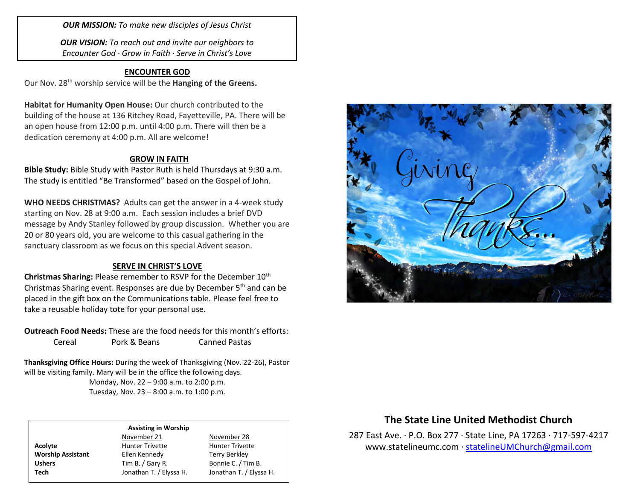*OUR MISSION: To make new disciples of Jesus Christ*

*OUR VISION: To reach out and invite our neighbors to Encounter God · Grow in Faith · Serve in Christ's Love*

## **ENCOUNTER GOD**

Our Nov. 28th worship service will be the **Hanging of the Greens.**

**Habitat for Humanity Open House:** Our church contributed to the building of the house at 136 Ritchey Road, Fayetteville, PA. There will be an open house from 12:00 p.m. until 4:00 p.m. There will then be a dedication ceremony at 4:00 p.m. All are welcome!

## **GROW IN FAITH**

**Bible Study:** Bible Study with Pastor Ruth is held Thursdays at 9:30 a.m. The study is entitled "Be Transformed" based on the Gospel of John.

**WHO NEEDS CHRISTMAS?** Adults can get the answer in a 4-week study starting on Nov. 28 at 9:00 a.m. Each session includes a brief DVD message by Andy Stanley followed by group discussion. Whether you are 20 or 80 years old, you are welcome to this casual gathering in the sanctuary classroom as we focus on this special Advent season.

### **SERVE IN CHRIST'S LOVE**

**Christmas Sharing: Please remember to RSVP for the December 10<sup>th</sup>** Christmas Sharing event. Responses are due by December 5<sup>th</sup> and can be placed in the gift box on the Communications table. Please feel free to take a reusable holiday tote for your personal use.

**Outreach Food Needs:** These are the food needs for this month's efforts: Cereal Pork & Beans Canned Pastas

**Thanksgiving Office Hours:** During the week of Thanksgiving (Nov. 22-26), Pastor will be visiting family. Mary will be in the office the following days.

> Monday, Nov. 22 – 9:00 a.m. to 2:00 p.m. Tuesday, Nov. 23 – 8:00 a.m. to 1:00 p.m.

#### **Assisting in Worship**

**Worship Assistant** Ellen Kennedy Terry Berkley

## November 21 November 28 Acolyte **Acolyte** Hunter Trivette **Hunter Trivette**

Ushers Tim B. / Gary R. Bonnie C. / Tim B. **Tech** Jonathan T. / Elyssa H. Jonathan T. / Elyssa H.



## **The State Line United Methodist Church**

287 East Ave. · P.O. Box 277 · State Line, PA 17263 · 717-597-4217 [www.statelineumc.com](http://www.statelineumc.com/) · [statelineUMChurch@gmail.com](mailto:statelineUMChurch@gmail.com)